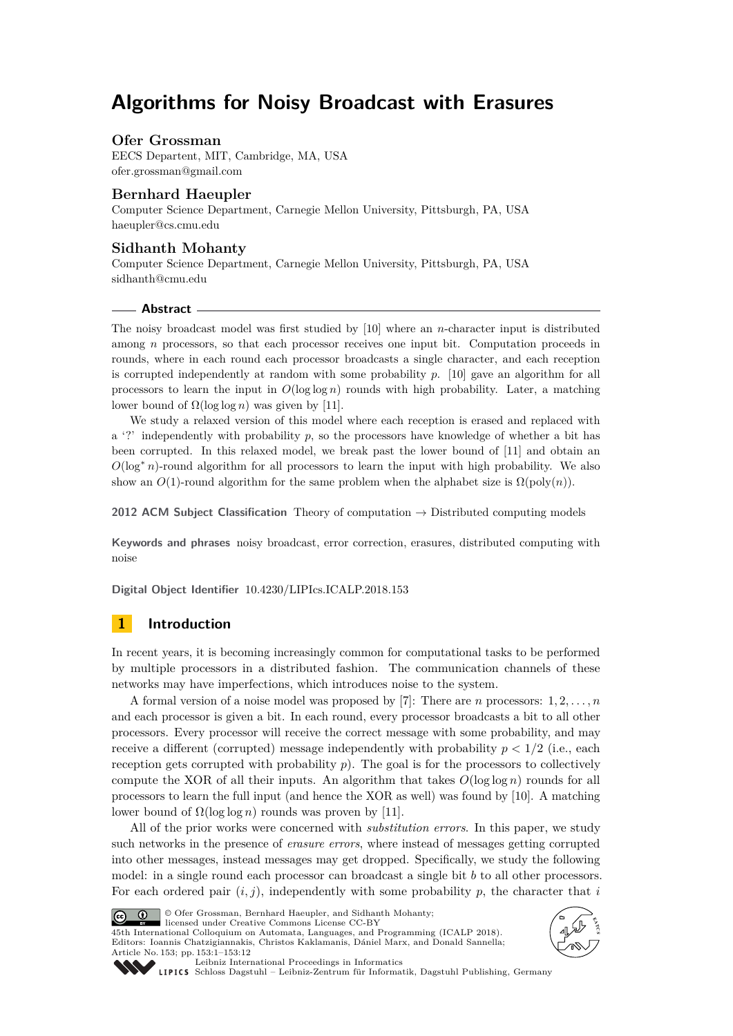# **Algorithms for Noisy Broadcast with Erasures**

# **Ofer Grossman**

EECS Departent, MIT, Cambridge, MA, USA [ofer.grossman@gmail.com](mailto:ofer.grossman@gmail.com)

# **Bernhard Haeupler**

Computer Science Department, Carnegie Mellon University, Pittsburgh, PA, USA [haeupler@cs.cmu.edu](mailto:haeupler@cs.cmu.edu)

# **Sidhanth Mohanty**

Computer Science Department, Carnegie Mellon University, Pittsburgh, PA, USA [sidhanth@cmu.edu](mailto:sidhanth@cmu.edu)

#### **Abstract**

The noisy broadcast model was first studied by [\[10\]](#page-8-0) where an *n*-character input is distributed among *n* processors, so that each processor receives one input bit. Computation proceeds in rounds, where in each round each processor broadcasts a single character, and each reception is corrupted independently at random with some probability *p*. [\[10\]](#page-8-0) gave an algorithm for all processors to learn the input in  $O(\log \log n)$  rounds with high probability. Later, a matching lower bound of  $Ω(log log n)$  was given by [\[11\]](#page-9-0).

We study a relaxed version of this model where each reception is erased and replaced with a '?' independently with probability  $p$ , so the processors have knowledge of whether a bit has been corrupted. In this relaxed model, we break past the lower bound of [\[11\]](#page-9-0) and obtain an  $O(\log^* n)$ -round algorithm for all processors to learn the input with high probability. We also show an  $O(1)$ -round algorithm for the same problem when the alphabet size is  $\Omega(\text{poly}(n))$ .

**2012 ACM Subject Classification** Theory of computation → Distributed computing models

**Keywords and phrases** noisy broadcast, error correction, erasures, distributed computing with noise

**Digital Object Identifier** [10.4230/LIPIcs.ICALP.2018.153](http://dx.doi.org/10.4230/LIPIcs.ICALP.2018.153)

# **1 Introduction**

In recent years, it is becoming increasingly common for computational tasks to be performed by multiple processors in a distributed fashion. The communication channels of these networks may have imperfections, which introduces noise to the system.

A formal version of a noise model was proposed by [\[7\]](#page-8-1): There are *n* processors: 1*,* 2*, . . . , n* and each processor is given a bit. In each round, every processor broadcasts a bit to all other processors. Every processor will receive the correct message with some probability, and may receive a different (corrupted) message independently with probability  $p < 1/2$  (i.e., each reception gets corrupted with probability  $p$ ). The goal is for the processors to collectively compute the XOR of all their inputs. An algorithm that takes  $O(\log \log n)$  rounds for all processors to learn the full input (and hence the XOR as well) was found by [\[10\]](#page-8-0). A matching lower bound of  $\Omega(\log \log n)$  rounds was proven by [\[11\]](#page-9-0).

All of the prior works were concerned with *substitution errors*. In this paper, we study such networks in the presence of *erasure errors*, where instead of messages getting corrupted into other messages, instead messages may get dropped. Specifically, we study the following model: in a single round each processor can broadcast a single bit *b* to all other processors. For each ordered pair  $(i, j)$ , independently with some probability  $p$ , the character that  $i$ 



© Ofer Grossman, Bernhard Haeupler, and Sidhanth Mohanty;

licensed under Creative Commons License CC-BY 45th International Colloquium on Automata, Languages, and Programming (ICALP 2018). Editors: Ioannis Chatzigiannakis, Christos Kaklamanis, Dániel Marx, and Donald Sannella; Article No. 153; pp. 153:1–153[:12](#page-11-0)





[Leibniz International Proceedings in Informatics](http://www.dagstuhl.de/lipics/)

[Schloss Dagstuhl – Leibniz-Zentrum für Informatik, Dagstuhl Publishing, Germany](http://www.dagstuhl.de)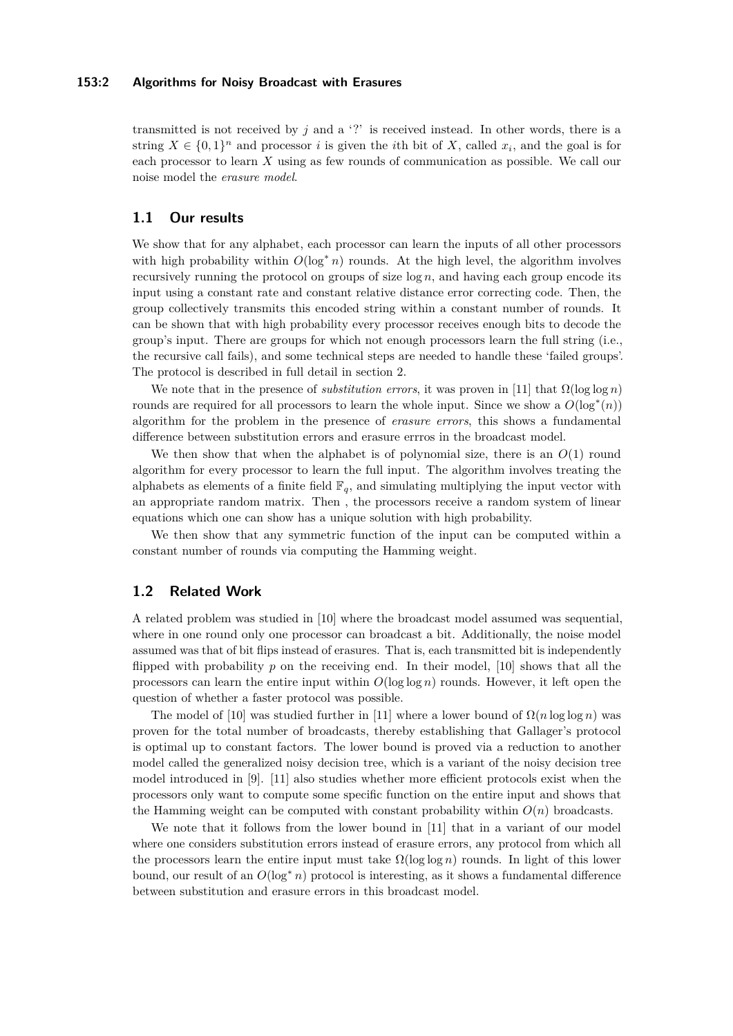### **153:2 Algorithms for Noisy Broadcast with Erasures**

transmitted is not received by  $j$  and a '?' is received instead. In other words, there is a string  $X \in \{0,1\}^n$  and processor *i* is given the *i*th bit of *X*, called  $x_i$ , and the goal is for each processor to learn *X* using as few rounds of communication as possible. We call our noise model the *erasure model*.

# **1.1 Our results**

We show that for any alphabet, each processor can learn the inputs of all other processors with high probability within  $O(\log^* n)$  rounds. At the high level, the algorithm involves recursively running the protocol on groups of size log *n*, and having each group encode its input using a constant rate and constant relative distance error correcting code. Then, the group collectively transmits this encoded string within a constant number of rounds. It can be shown that with high probability every processor receives enough bits to decode the group's input. There are groups for which not enough processors learn the full string (i.e., the recursive call fails), and some technical steps are needed to handle these 'failed groups'. The protocol is described in full detail in section [2.](#page-3-0)

We note that in the presence of *substitution errors*, it was proven in [\[11\]](#page-9-0) that  $\Omega(\log \log n)$ rounds are required for all processors to learn the whole input. Since we show a  $O(\log^*(n))$ algorithm for the problem in the presence of *erasure errors*, this shows a fundamental difference between substitution errors and erasure errros in the broadcast model.

We then show that when the alphabet is of polynomial size, there is an  $O(1)$  round algorithm for every processor to learn the full input. The algorithm involves treating the alphabets as elements of a finite field  $\mathbb{F}_q$ , and simulating multiplying the input vector with an appropriate random matrix. Then , the processors receive a random system of linear equations which one can show has a unique solution with high probability.

We then show that any symmetric function of the input can be computed within a constant number of rounds via computing the Hamming weight.

# **1.2 Related Work**

A related problem was studied in [\[10\]](#page-8-0) where the broadcast model assumed was sequential, where in one round only one processor can broadcast a bit. Additionally, the noise model assumed was that of bit flips instead of erasures. That is, each transmitted bit is independently flipped with probability *p* on the receiving end. In their model, [\[10\]](#page-8-0) shows that all the processors can learn the entire input within *O*(log log *n*) rounds. However, it left open the question of whether a faster protocol was possible.

The model of [\[10\]](#page-8-0) was studied further in [\[11\]](#page-9-0) where a lower bound of  $\Omega(n \log \log n)$  was proven for the total number of broadcasts, thereby establishing that Gallager's protocol is optimal up to constant factors. The lower bound is proved via a reduction to another model called the generalized noisy decision tree, which is a variant of the noisy decision tree model introduced in [\[9\]](#page-8-2). [\[11\]](#page-9-0) also studies whether more efficient protocols exist when the processors only want to compute some specific function on the entire input and shows that the Hamming weight can be computed with constant probability within  $O(n)$  broadcasts.

We note that it follows from the lower bound in [\[11\]](#page-9-0) that in a variant of our model where one considers substitution errors instead of erasure errors, any protocol from which all the processors learn the entire input must take  $\Omega(\log \log n)$  rounds. In light of this lower bound, our result of an  $O(\log^* n)$  protocol is interesting, as it shows a fundamental difference between substitution and erasure errors in this broadcast model.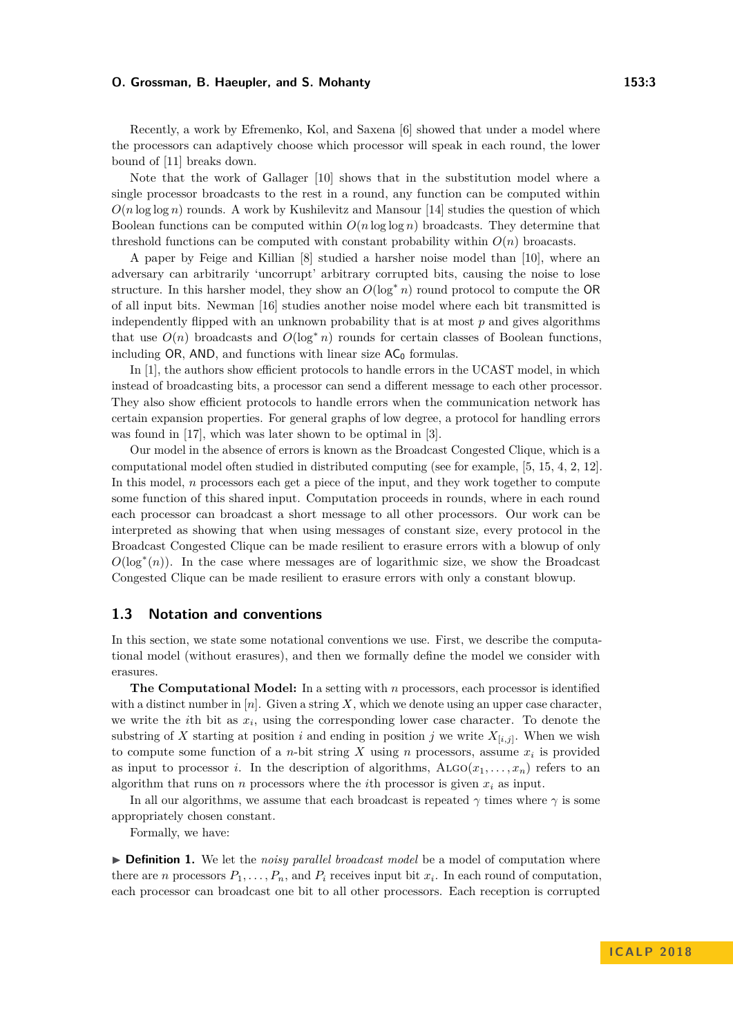### **O. Grossman, B. Haeupler, and S. Mohanty 153:3**

Recently, a work by Efremenko, Kol, and Saxena [\[6\]](#page-8-3) showed that under a model where the processors can adaptively choose which processor will speak in each round, the lower bound of [\[11\]](#page-9-0) breaks down.

Note that the work of Gallager [\[10\]](#page-8-0) shows that in the substitution model where a single processor broadcasts to the rest in a round, any function can be computed within  $O(n \log \log n)$  rounds. A work by Kushilevitz and Mansour [\[14\]](#page-9-1) studies the question of which Boolean functions can be computed within  $O(n \log \log n)$  broadcasts. They determine that threshold functions can be computed with constant probability within  $O(n)$  broacasts.

A paper by Feige and Killian [\[8\]](#page-8-4) studied a harsher noise model than [\[10\]](#page-8-0), where an adversary can arbitrarily 'uncorrupt' arbitrary corrupted bits, causing the noise to lose structure. In this harsher model, they show an  $O(\log^* n)$  round protocol to compute the OR of all input bits. Newman [\[16\]](#page-9-2) studies another noise model where each bit transmitted is independently flipped with an unknown probability that is at most *p* and gives algorithms that use  $O(n)$  broadcasts and  $O(\log^* n)$  rounds for certain classes of Boolean functions, including  $OR$ , AND, and functions with linear size  $AC_0$  formulas.

In [\[1\]](#page-8-5), the authors show efficient protocols to handle errors in the UCAST model, in which instead of broadcasting bits, a processor can send a different message to each other processor. They also show efficient protocols to handle errors when the communication network has certain expansion properties. For general graphs of low degree, a protocol for handling errors was found in [\[17\]](#page-9-3), which was later shown to be optimal in [\[3\]](#page-8-6).

Our model in the absence of errors is known as the Broadcast Congested Clique, which is a computational model often studied in distributed computing (see for example, [\[5,](#page-8-7) [15,](#page-9-4) [4,](#page-8-8) [2,](#page-8-9) [12\]](#page-9-5). In this model, *n* processors each get a piece of the input, and they work together to compute some function of this shared input. Computation proceeds in rounds, where in each round each processor can broadcast a short message to all other processors. Our work can be interpreted as showing that when using messages of constant size, every protocol in the Broadcast Congested Clique can be made resilient to erasure errors with a blowup of only  $O(\log^*(n))$ . In the case where messages are of logarithmic size, we show the Broadcast Congested Clique can be made resilient to erasure errors with only a constant blowup.

# **1.3 Notation and conventions**

In this section, we state some notational conventions we use. First, we describe the computational model (without erasures), and then we formally define the model we consider with erasures.

**The Computational Model:** In a setting with *n* processors, each processor is identified with a distinct number in  $[n]$ . Given a string X, which we denote using an upper case character, we write the *i*th bit as  $x_i$ , using the corresponding lower case character. To denote the substring of *X* starting at position *i* and ending in position *j* we write  $X_{[i,j]}$ . When we wish to compute some function of a *n*-bit string *X* using *n* processors, assume  $x_i$  is provided as input to processor *i*. In the description of algorithms,  $ALGO(x_1, \ldots, x_n)$  refers to an algorithm that runs on  $n$  processors where the *i*th processor is given  $x_i$  as input.

In all our algorithms, we assume that each broadcast is repeated  $\gamma$  times where  $\gamma$  is some appropriately chosen constant.

Formally, we have:

▶ **Definition 1.** We let the *noisy parallel broadcast model* be a model of computation where there are *n* processors  $P_1, \ldots, P_n$ , and  $P_i$  receives input bit  $x_i$ . In each round of computation, each processor can broadcast one bit to all other processors. Each reception is corrupted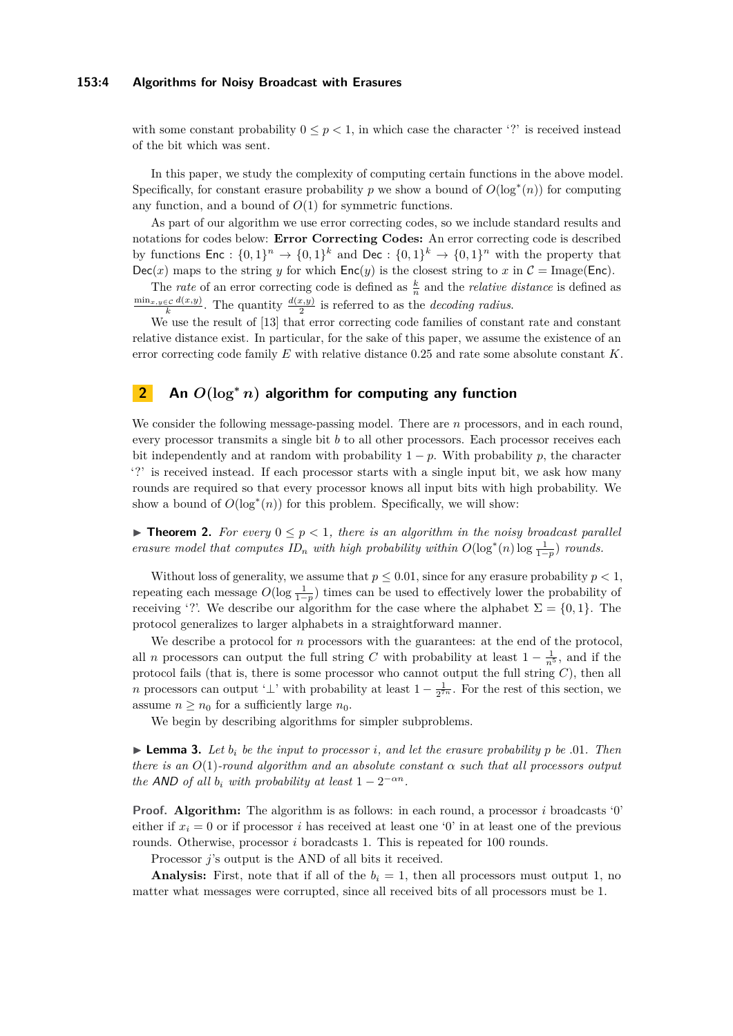### **153:4 Algorithms for Noisy Broadcast with Erasures**

with some constant probability  $0 \leq p < 1$ , in which case the character '?' is received instead of the bit which was sent.

In this paper, we study the complexity of computing certain functions in the above model. Specifically, for constant erasure probability  $p$  we show a bound of  $O(\log^*(n))$  for computing any function, and a bound of *O*(1) for symmetric functions.

As part of our algorithm we use error correcting codes, so we include standard results and notations for codes below: **Error Correcting Codes:** An error correcting code is described by functions  $\textsf{Enc}: \{0,1\}^n \to \{0,1\}^k$  and  $\textsf{Dec}: \{0,1\}^k \to \{0,1\}^n$  with the property that  $Dec(x)$  maps to the string *y* for which  $Enc(y)$  is the closest string to *x* in  $C = Image(Enc)$ .

The *rate* of an error correcting code is defined as  $\frac{k}{n}$  and the *relative distance* is defined as  $\frac{\min_{x,y\in\mathcal{C}}d(x,y)}{k}$ . The quantity  $\frac{d(x,y)}{2}$  is referred to as the *decoding radius*.

We use the result of [\[13\]](#page-9-6) that error correcting code families of constant rate and constant relative distance exist. In particular, for the sake of this paper, we assume the existence of an error correcting code family *E* with relative distance 0*.*25 and rate some absolute constant *K*.

# <span id="page-3-0"></span>**2 An** *O***(log<sup>∗</sup>** *n***) algorithm for computing any function**

We consider the following message-passing model. There are *n* processors, and in each round, every processor transmits a single bit *b* to all other processors. Each processor receives each bit independently and at random with probability  $1 - p$ . With probability  $p$ , the character '?' is received instead. If each processor starts with a single input bit, we ask how many rounds are required so that every processor knows all input bits with high probability. We show a bound of  $O(log<sup>*</sup>(n))$  for this problem. Specifically, we will show:

<span id="page-3-2"></span>**Theorem 2.** For every  $0 \leq p < 1$ , there is an algorithm in the noisy broadcast parallel *erasure model that computes ID<sub>n</sub> with high probability within*  $O(\log^*(n) \log \frac{1}{1-p})$  *rounds.* 

Without loss of generality, we assume that  $p \leq 0.01$ , since for any erasure probability  $p < 1$ , repeating each message  $O(\log \frac{1}{1-p})$  times can be used to effectively lower the probability of receiving '?'. We describe our algorithm for the case where the alphabet  $\Sigma = \{0, 1\}$ . The protocol generalizes to larger alphabets in a straightforward manner.

We describe a protocol for *n* processors with the guarantees: at the end of the protocol, all *n* processors can output the full string *C* with probability at least  $1 - \frac{1}{n^5}$ , and if the protocol fails (that is, there is some processor who cannot output the full string *C*), then all *n* processors can output ' $\perp$ ' with probability at least  $1 - \frac{1}{2^{7n}}$ . For the rest of this section, we assume  $n \geq n_0$  for a sufficiently large  $n_0$ .

We begin by describing algorithms for simpler subproblems.

<span id="page-3-1"></span> $\blacktriangleright$  **Lemma 3.** Let  $b_i$  be the input to processor *i*, and let the erasure probability p be .01. Then *there is an O*(1)*-round algorithm and an absolute constant α such that all processors output the* AND of all  $b_i$  *with probability at least*  $1 - 2^{-\alpha n}$ *.* 

**Proof. Algorithm:** The algorithm is as follows: in each round, a processor *i* broadcasts '0' either if  $x_i = 0$  or if processor *i* has received at least one '0' in at least one of the previous rounds. Otherwise, processor *i* boradcasts 1. This is repeated for 100 rounds.

Processor *j*'s output is the AND of all bits it received.

**Analysis:** First, note that if all of the  $b_i = 1$ , then all processors must output 1, no matter what messages were corrupted, since all received bits of all processors must be 1.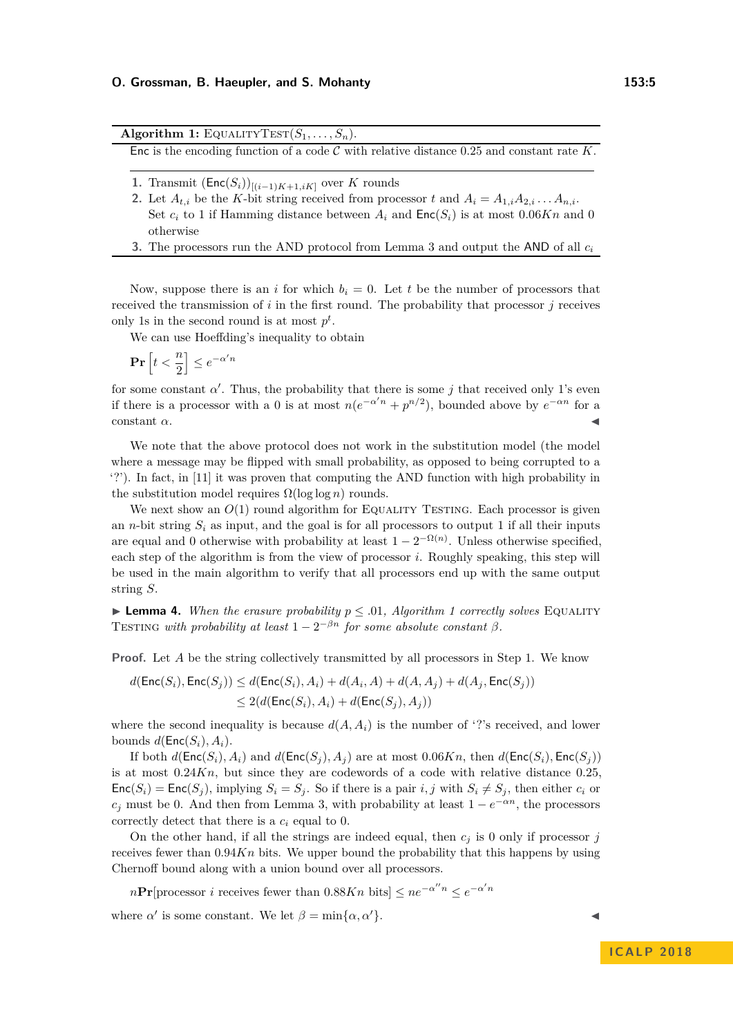Algorithm 1: EQUALITYTEST $(S_1, \ldots, S_n)$ .

<span id="page-4-0"></span>Enc is the encoding function of a code C with relative distance 0*.*25 and constant rate *K*.

- <span id="page-4-1"></span>1. Transmit  $(Enc(S_i))_{[(i-1)K+1, iK]}$  over *K* rounds
- 2. Let  $A_{t,i}$  be the *K*-bit string received from processor *t* and  $A_i = A_{1,i}A_{2,i} \ldots A_{n,i}$ . Set  $c_i$  to 1 if Hamming distance between  $A_i$  and  $Enc(S_i)$  is at most  $0.06Kn$  and 0 otherwise
- **3.** The processors run the AND protocol from Lemma [3](#page-3-1) and output the AND of all *c<sup>i</sup>*

Now, suppose there is an *i* for which  $b_i = 0$ . Let *t* be the number of processors that received the transmission of *i* in the first round. The probability that processor *j* receives only 1s in the second round is at most  $p^t$ .

We can use Hoeffding's inequality to obtain

$$
\mathbf{Pr}\left[t < \frac{n}{2}\right] \le e^{-\alpha'n}
$$

for some constant  $\alpha'$ . Thus, the probability that there is some *j* that received only 1's even if there is a processor with a 0 is at most  $n(e^{-\alpha'n} + p^{n/2})$ , bounded above by  $e^{-\alpha n}$  for a  $\alpha$ .

We note that the above protocol does not work in the substitution model (the model where a message may be flipped with small probability, as opposed to being corrupted to a '?'). In fact, in [\[11\]](#page-9-0) it was proven that computing the AND function with high probability in the substitution model requires  $\Omega(\log \log n)$  rounds.

We next show an  $O(1)$  round algorithm for EQUALITY TESTING. Each processor is given an *n*-bit string  $S_i$  as input, and the goal is for all processors to output 1 if all their inputs are equal and 0 otherwise with probability at least  $1 - 2^{-\Omega(n)}$ . Unless otherwise specified, each step of the algorithm is from the view of processor *i*. Roughly speaking, this step will be used in the main algorithm to verify that all processors end up with the same output string *S*.

 $\blacktriangleright$  **Lemma 4.** *When the erasure probability*  $p \leq .01$ *, Algorithm [1](#page-4-0) correctly solves* EQUALITY TESTING with probability at least  $1 - 2^{-\beta n}$  for some absolute constant  $\beta$ .

**Proof.** Let *A* be the string collectively transmitted by all processors in Step [1.](#page-4-1) We know

$$
d(\text{Enc}(S_i), \text{Enc}(S_j)) \leq d(\text{Enc}(S_i), A_i) + d(A_i, A) + d(A, A_j) + d(A_j, \text{Enc}(S_j))
$$
  

$$
\leq 2(d(\text{Enc}(S_i), A_i) + d(\text{Enc}(S_j), A_j))
$$

where the second inequality is because  $d(A, A_i)$  is the number of '?'s received, and lower bounds  $d(\textsf{Enc}(S_i), A_i)$ .

If both  $d(\textsf{Enc}(S_i), A_i)$  and  $d(\textsf{Enc}(S_i), A_j)$  are at most 0.06*Kn*, then  $d(\textsf{Enc}(S_i), \textsf{Enc}(S_i))$ is at most 0*.*24*Kn*, but since they are codewords of a code with relative distance 0*.*25,  $Enc(S_i) = Enc(S_i)$ , implying  $S_i = S_i$ . So if there is a pair *i, j* with  $S_i \neq S_j$ , then either  $c_i$  or  $c_j$  must be 0. And then from Lemma [3,](#page-3-1) with probability at least  $1 - e^{-\alpha n}$ , the processors correctly detect that there is a *c<sup>i</sup>* equal to 0.

On the other hand, if all the strings are indeed equal, then  $c_i$  is 0 only if processor *j* receives fewer than  $0.94Kn$  bits. We upper bound the probability that this happens by using Chernoff bound along with a union bound over all processors.

 $n\Pr[\text{processor } i \text{ receives fewer than } 0.88Kn \text{ bits}] \leq n e^{-\alpha'' n} \leq e^{-\alpha' n}$ 

where  $\alpha'$  is some constant. We let  $\beta = \min{\{\alpha, \alpha'\}}$ .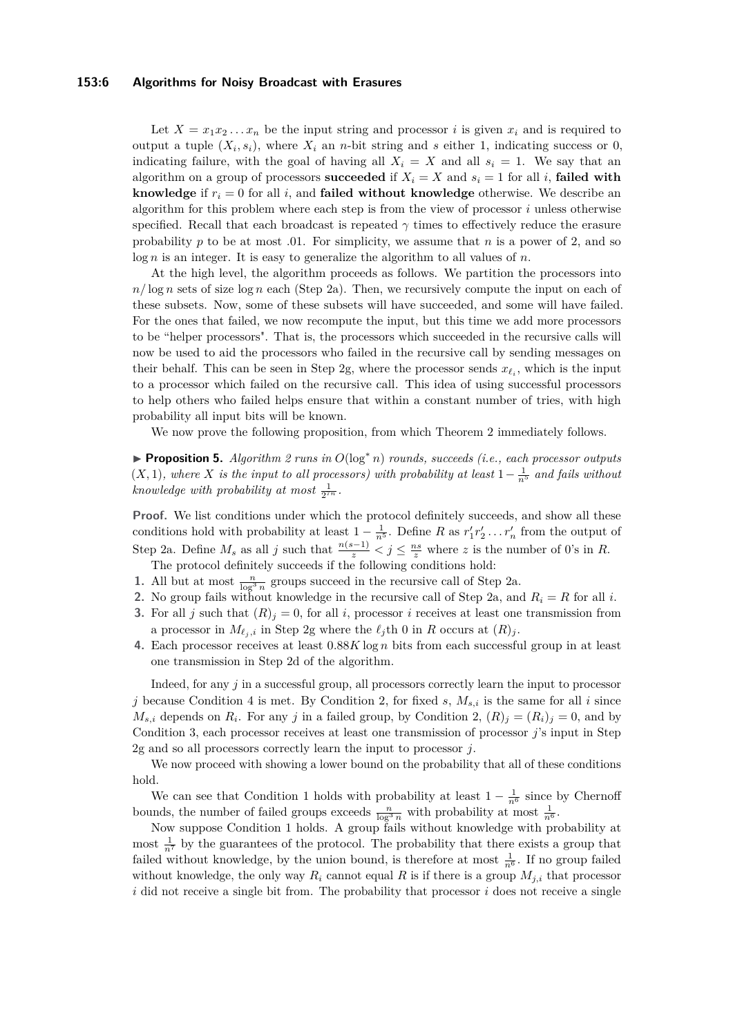### **153:6 Algorithms for Noisy Broadcast with Erasures**

Let  $X = x_1 x_2 \ldots x_n$  be the input string and processor *i* is given  $x_i$  and is required to output a tuple  $(X_i, s_i)$ , where  $X_i$  an *n*-bit string and *s* either 1, indicating success or 0, indicating failure, with the goal of having all  $X_i = X$  and all  $s_i = 1$ . We say that an algorithm on a group of processors **succeeded** if  $X_i = X$  and  $s_i = 1$  for all *i*, **failed with knowledge** if  $r_i = 0$  for all *i*, and **failed without knowledge** otherwise. We describe an algorithm for this problem where each step is from the view of processor *i* unless otherwise specified. Recall that each broadcast is repeated *γ* times to effectively reduce the erasure probability *p* to be at most *.*01. For simplicity, we assume that *n* is a power of 2, and so log *n* is an integer. It is easy to generalize the algorithm to all values of *n*.

At the high level, the algorithm proceeds as follows. We partition the processors into *n/* log *n* sets of size log *n* each (Step [2a\)](#page-6-0). Then, we recursively compute the input on each of these subsets. Now, some of these subsets will have succeeded, and some will have failed. For the ones that failed, we now recompute the input, but this time we add more processors to be "helper processors". That is, the processors which succeeded in the recursive calls will now be used to aid the processors who failed in the recursive call by sending messages on their behalf. This can be seen in Step [2g,](#page-6-1) where the processor sends  $x_{\ell_i}$ , which is the input to a processor which failed on the recursive call. This idea of using successful processors to help others who failed helps ensure that within a constant number of tries, with high probability all input bits will be known.

We now prove the following proposition, from which Theorem [2](#page-3-2) immediately follows.

I **Proposition 5.** *Algorithm [2](#page-6-2) runs in O*(log<sup>∗</sup> *n*) *rounds, succeeds (i.e., each processor outputs*  $(X, 1)$ *, where*  $X$  *is the input to all processors) with probability at least*  $1 - \frac{1}{n^5}$  *and fails without knowledge with probability at most*  $\frac{1}{2^{7n}}$ *.* 

Proof. We list conditions under which the protocol definitely succeeds, and show all these conditions hold with probability at least  $1 - \frac{1}{n^5}$ . Define *R* as  $r'_1 r'_2 \dots r'_n$  from the output of Step [2a.](#page-6-0) Define  $M_s$  as all *j* such that  $\frac{n(s-1)}{z} < j \leq \frac{ns}{z}$  where *z* is the number of 0's in *R*.

The protocol definitely succeeds if the following conditions hold:

- <span id="page-5-3"></span>**1.** All but at most  $\frac{n}{\log^3 n}$  groups succeed in the recursive call of Step [2a.](#page-6-0)
- <span id="page-5-1"></span>**2.** No group fails without knowledge in the recursive call of Step [2a,](#page-6-0) and  $R_i = R$  for all *i*.
- <span id="page-5-2"></span>**3.** For all *j* such that  $(R)_i = 0$ , for all *i*, processor *i* receives at least one transmission from a processor in  $M_{\ell_i,i}$  in Step [2g](#page-6-1) where the  $\ell_j$ th 0 in *R* occurs at  $(R)_j$ .
- <span id="page-5-0"></span>**4.** Each processor receives at least 0*.*88*K* log *n* bits from each successful group in at least one transmission in Step [2d](#page-6-3) of the algorithm.

Indeed, for any *j* in a successful group, all processors correctly learn the input to processor *j* because Condition [4](#page-5-0) is met. By Condition [2,](#page-5-1) for fixed *s*,  $M_{s,i}$  is the same for all *i* since  $M_{s,i}$  depends on  $R_i$ . For any *j* in a failed group, by Condition [2,](#page-5-1)  $(R)_j = (R_i)_j = 0$ , and by Condition [3,](#page-5-2) each processor receives at least one transmission of processor *j*'s input in Step [2g](#page-6-1) and so all processors correctly learn the input to processor *j*.

We now proceed with showing a lower bound on the probability that all of these conditions hold.

We can see that Condition [1](#page-5-3) holds with probability at least  $1 - \frac{1}{n^6}$  since by Chernoff bounds, the number of failed groups exceeds  $\frac{n}{\log^3 n}$  with probability at most  $\frac{1}{n^6}$ .

Now suppose Condition [1](#page-5-3) holds. A group fails without knowledge with probability at most  $\frac{1}{n^7}$  by the guarantees of the protocol. The probability that there exists a group that failed without knowledge, by the union bound, is therefore at most  $\frac{1}{n^6}$ . If no group failed without knowledge, the only way  $R_i$  cannot equal  $R$  is if there is a group  $M_{j,i}$  that processor *i* did not receive a single bit from. The probability that processor *i* does not receive a single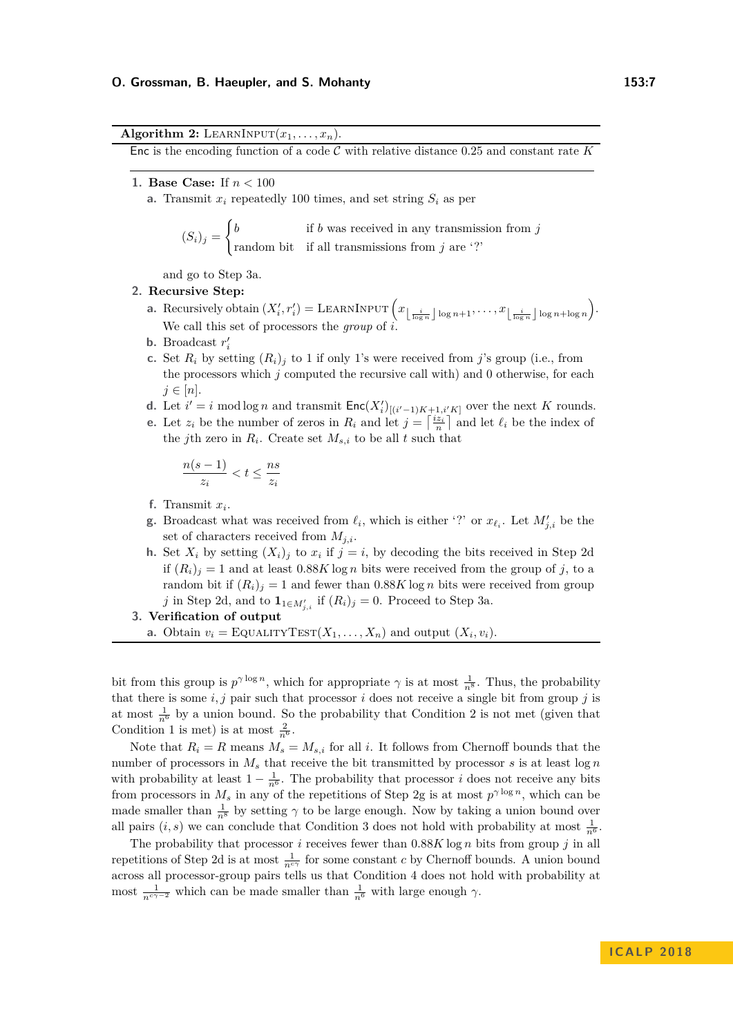**Algorithm 2:** LEARNINPUT $(x_1, \ldots, x_n)$ .

<span id="page-6-2"></span>Enc is the encoding function of a code C with relative distance 0*.*25 and constant rate *K*

**1. Base Case:** If *n <* 100

**a.** Transmit  $x_i$  repeatedly 100 times, and set string  $S_i$  as per

$$
(S_i)_j = \begin{cases} b & \text{if } b \text{ was received in any transmission from } j \\ \text{random bit} & \text{if all transmissions from } j \text{ are '?'} \end{cases}
$$

and go to Step [3a.](#page-6-4)

### <span id="page-6-0"></span>**2. Recursive Step:**

- **a.** Recursively obtain  $(X'_i, r'_i) = \text{LEARNING}} \left( x_{\left\lfloor \frac{i}{\log n} \right\rfloor \log n + 1}, \ldots, x_{\left\lfloor \frac{i}{\log n} \right\rfloor \log n + \log n} \right)$ . We call this set of processors the *group* of *i*.
- **b**. Broadcast  $r'_i$
- **c.** Set  $R_i$  by setting  $(R_i)_i$  to 1 if only 1's were received from *j*'s group (i.e., from the processors which *j* computed the recursive call with) and 0 otherwise, for each  $j \in [n]$ .
- <span id="page-6-3"></span>**d.** Let  $i' = i \mod \log n$  and transmit  $Enc(X_i')_{[(i'-1)K+1,i'K]}$  over the next *K* rounds.
- **e.** Let  $z_i$  be the number of zeros in  $R_i$  and let  $j = \left\lceil \frac{iz_i}{n} \right\rceil$  and let  $\ell_i$  be the index of the *j*th zero in  $R_i$ . Create set  $M_{s,i}$  to be all  $t$  such that

$$
\frac{n(s-1)}{z_i} < t \leq \frac{ns}{z_i}
$$

- **f.** Transmit *x<sup>i</sup>* .
- <span id="page-6-1"></span>**g**. Broadcast what was received from  $\ell_i$ , which is either '?' or  $x_{\ell_i}$ . Let  $M'_{j,i}$  be the set of characters received from *Mj,i*.
- **h.** Set  $X_i$  by setting  $(X_i)_j$  to  $x_i$  if  $j = i$ , by decoding the bits received in Step [2d](#page-6-3) if  $(R_i)_j = 1$  and at least  $0.88K \log n$  bits were received from the group of *j*, to a random bit if  $(R_i)_i = 1$  and fewer than 0.88*K* log *n* bits were received from group *j* in Step [2d,](#page-6-3) and to  $\mathbf{1}_{1 \in M'_{j,i}}$  if  $(R_i)_j = 0$ . Proceed to Step [3a.](#page-6-4)

## <span id="page-6-4"></span>**3. Verification of output**

**a.** Obtain  $v_i = \text{EQUALITYTEST}(X_1, \ldots, X_n)$  and output  $(X_i, v_i)$ .

bit from this group is  $p^{\gamma \log n}$ , which for appropriate  $\gamma$  is at most  $\frac{1}{n^8}$ . Thus, the probability that there is some  $i, j$  pair such that processor  $i$  does not receive a single bit from group  $j$  is at most  $\frac{1}{n^6}$  by a union bound. So the probability that Condition [2](#page-5-1) is not met (given that Condition [1](#page-5-3) is met) is at most  $\frac{2}{n^6}$ .

Note that  $R_i = R$  means  $M_s = M_{s,i}$  for all *i*. It follows from Chernoff bounds that the number of processors in  $M_s$  that receive the bit transmitted by processor  $s$  is at least  $\log n$ with probability at least  $1 - \frac{1}{n^6}$ . The probability that processor *i* does not receive any bits from processors in  $M_s$  in any of the repetitions of Step [2g](#page-6-1) is at most  $p^{\gamma \log n}$ , which can be made smaller than  $\frac{1}{n^8}$  by setting  $\gamma$  to be large enough. Now by taking a union bound over all pairs  $(i, s)$  we can conclude that Condition [3](#page-5-2) does not hold with probability at most  $\frac{1}{n^6}$ .

The probability that processor *i* receives fewer than 0*.*88*K* log *n* bits from group *j* in all repetitions of Step [2d](#page-6-3) is at most  $\frac{1}{n^{c\gamma}}$  for some constant *c* by Chernoff bounds. A union bound across all processor-group pairs tells us that Condition [4](#page-5-0) does not hold with probability at most  $\frac{1}{n^{c\gamma-2}}$  which can be made smaller than  $\frac{1}{n^6}$  with large enough  $\gamma$ .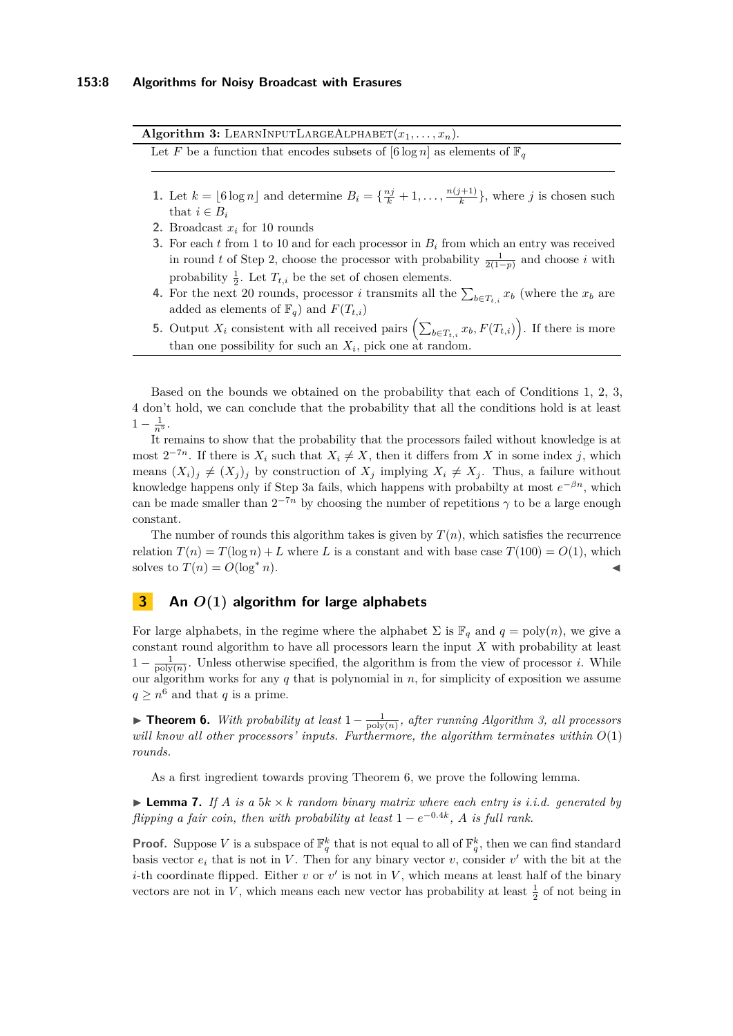Algorithm 3: LEARNINPUTLARGEALPHABET $(x_1, \ldots, x_n)$ .

<span id="page-7-1"></span>Let *F* be a function that encodes subsets of  $[6 \log n]$  as elements of  $\mathbb{F}_q$ 

- **1.** Let  $k = [6 \log n]$  and determine  $B_i = \{\frac{nj}{k} + 1, ..., \frac{n(j+1)}{k}\}$  $\frac{j+1}{k}$ , where *j* is chosen such that  $i \in B_i$
- <span id="page-7-0"></span>**2.** Broadcast *x<sup>i</sup>* for 10 rounds
- **3.** For each *t* from 1 to 10 and for each processor in *B<sup>i</sup>* from which an entry was received in round *t* of Step [2,](#page-7-0) choose the processor with probability  $\frac{1}{2(1-p)}$  and choose *i* with probability  $\frac{1}{2}$ . Let  $T_{t,i}$  be the set of chosen elements.
- **4.** For the next 20 rounds, processor *i* transmits all the  $\sum_{b \in T_{t,i}} x_b$  (where the  $x_b$  are added as elements of  $\mathbb{F}_q$ ) and  $F(T_{t,i})$
- **5.** Output  $X_i$  consistent with all received pairs  $\left(\sum_{b \in T_{t,i}} x_b, F(T_{t,i})\right)$ . If there is more than one possibility for such an  $X_i$ , pick one at random.

Based on the bounds we obtained on the probability that each of Conditions [1,](#page-5-3) [2,](#page-5-1) [3,](#page-5-2) [4](#page-5-0) don't hold, we can conclude that the probability that all the conditions hold is at least  $1 - \frac{1}{n^5}$ .

It remains to show that the probability that the processors failed without knowledge is at most  $2^{-7n}$ . If there is  $X_i$  such that  $X_i \neq X$ , then it differs from X in some index j, which means  $(X_i)_j \neq (X_j)_j$  by construction of  $X_j$  implying  $X_i \neq X_j$ . Thus, a failure without knowledge happens only if Step [3a](#page-6-4) fails, which happens with probabilty at most  $e^{-\beta n}$ , which can be made smaller than  $2^{-7n}$  by choosing the number of repetitions  $\gamma$  to be a large enough constant.

The number of rounds this algorithm takes is given by  $T(n)$ , which satisfies the recurrence relation  $T(n) = T(\log n) + L$  where *L* is a constant and with base case  $T(100) = O(1)$ , which solves to  $T(n) = O(\log^* n)$ .

# **3 An** *O***(1) algorithm for large alphabets**

For large alphabets, in the regime where the alphabet  $\Sigma$  is  $\mathbb{F}_q$  and  $q = \text{poly}(n)$ , we give a constant round algorithm to have all processors learn the input *X* with probability at least  $1 - \frac{1}{\text{poly}(n)}$ . Unless otherwise specified, the algorithm is from the view of processor *i*. While our algorithm works for any *q* that is polynomial in *n*, for simplicity of exposition we assume  $q \geq n^6$  and that *q* is a prime.

<span id="page-7-2"></span>**► Theorem 6.** With probability at least  $1 - \frac{1}{\text{poly}(n)}$ , after running Algorithm [3,](#page-7-1) all processors *will know all other processors' inputs. Furthermore, the algorithm terminates within O*(1) *rounds.*

As a first ingredient towards proving Theorem [6,](#page-7-2) we prove the following lemma.

<span id="page-7-3"></span>**Lemma 7.** If *A* is a  $5k \times k$  random binary matrix where each entry is i.i.d. generated by *flipping a fair coin, then with probability at least*  $1 - e^{-0.4k}$ , *A is full rank.* 

**Proof.** Suppose V is a subspace of  $\mathbb{F}_q^k$  that is not equal to all of  $\mathbb{F}_q^k$ , then we can find standard basis vector  $e_i$  that is not in *V*. Then for any binary vector *v*, consider *v'* with the bit at the *i*-th coordinate flipped. Either  $v$  or  $v'$  is not in  $V$ , which means at least half of the binary vectors are not in *V*, which means each new vector has probability at least  $\frac{1}{2}$  of not being in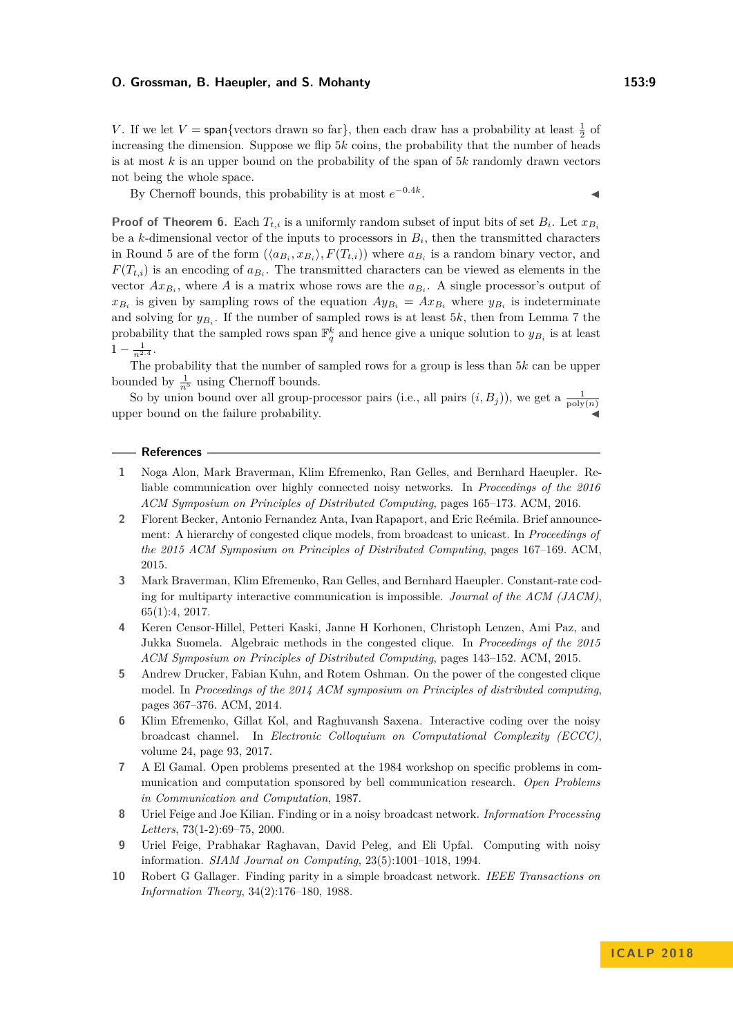### **O. Grossman, B. Haeupler, and S. Mohanty 153:9**

*V*. If we let  $V = \text{span}\{\text{vectors drawn so far}\}\$ , then each draw has a probability at least  $\frac{1}{2}$  of increasing the dimension. Suppose we flip 5*k* coins, the probability that the number of heads is at most *k* is an upper bound on the probability of the span of 5*k* randomly drawn vectors not being the whole space.

By Chernoff bounds, this probability is at most  $e^{-0.4k}$ . **Just a strategie and the strategie** 

**Proof of Theorem [6.](#page-7-2)** Each  $T_{t,i}$  is a uniformly random subset of input bits of set  $B_i$ . Let  $x_{B_i}$ be a *k*-dimensional vector of the inputs to processors in  $B_i$ , then the transmitted characters in Round 5 are of the form  $(\langle a_{B_i}, x_{B_i} \rangle, F(T_{t,i}))$  where  $a_{B_i}$  is a random binary vector, and  $F(T_{t,i})$  is an encoding of  $a_{B_i}$ . The transmitted characters can be viewed as elements in the vector  $Ax_{B_i}$ , where A is a matrix whose rows are the  $a_{B_i}$ . A single processor's output of  $x_{B_i}$  is given by sampling rows of the equation  $Ay_{B_i} = Ax_{B_i}$  where  $y_{B_i}$  is indeterminate and solving for  $y_{B_i}$ . If the number of sampled rows is at least 5*k*, then from Lemma [7](#page-7-3) the probability that the sampled rows span  $\mathbb{F}_q^k$  and hence give a unique solution to  $y_{B_i}$  is at least  $1 - \frac{1}{n^{2.4}}$ .

The probability that the number of sampled rows for a group is less than 5*k* can be upper bounded by  $\frac{1}{n^5}$  using Chernoff bounds.

So by union bound over all group-processor pairs (i.e., all pairs  $(i, B<sub>j</sub>)$ ), we get a  $\frac{1}{\text{poly}(n)}$ upper bound on the failure probability.

#### **References**

- <span id="page-8-5"></span>**1** Noga Alon, Mark Braverman, Klim Efremenko, Ran Gelles, and Bernhard Haeupler. Reliable communication over highly connected noisy networks. In *Proceedings of the 2016 ACM Symposium on Principles of Distributed Computing*, pages 165–173. ACM, 2016.
- <span id="page-8-9"></span>**2** Florent Becker, Antonio Fernandez Anta, Ivan Rapaport, and Eric Reémila. Brief announcement: A hierarchy of congested clique models, from broadcast to unicast. In *Proceedings of the 2015 ACM Symposium on Principles of Distributed Computing*, pages 167–169. ACM, 2015.
- <span id="page-8-6"></span>**3** Mark Braverman, Klim Efremenko, Ran Gelles, and Bernhard Haeupler. Constant-rate coding for multiparty interactive communication is impossible. *Journal of the ACM (JACM)*, 65(1):4, 2017.
- <span id="page-8-8"></span>**4** Keren Censor-Hillel, Petteri Kaski, Janne H Korhonen, Christoph Lenzen, Ami Paz, and Jukka Suomela. Algebraic methods in the congested clique. In *Proceedings of the 2015 ACM Symposium on Principles of Distributed Computing*, pages 143–152. ACM, 2015.
- <span id="page-8-7"></span>**5** Andrew Drucker, Fabian Kuhn, and Rotem Oshman. On the power of the congested clique model. In *Proceedings of the 2014 ACM symposium on Principles of distributed computing*, pages 367–376. ACM, 2014.
- <span id="page-8-3"></span>**6** Klim Efremenko, Gillat Kol, and Raghuvansh Saxena. Interactive coding over the noisy broadcast channel. In *Electronic Colloquium on Computational Complexity (ECCC)*, volume 24, page 93, 2017.
- <span id="page-8-1"></span>**7** A El Gamal. Open problems presented at the 1984 workshop on specific problems in communication and computation sponsored by bell communication research. *Open Problems in Communication and Computation*, 1987.
- <span id="page-8-4"></span>**8** Uriel Feige and Joe Kilian. Finding or in a noisy broadcast network. *Information Processing Letters*, 73(1-2):69–75, 2000.
- <span id="page-8-2"></span>**9** Uriel Feige, Prabhakar Raghavan, David Peleg, and Eli Upfal. Computing with noisy information. *SIAM Journal on Computing*, 23(5):1001–1018, 1994.
- <span id="page-8-0"></span>**10** Robert G Gallager. Finding parity in a simple broadcast network. *IEEE Transactions on Information Theory*, 34(2):176–180, 1988.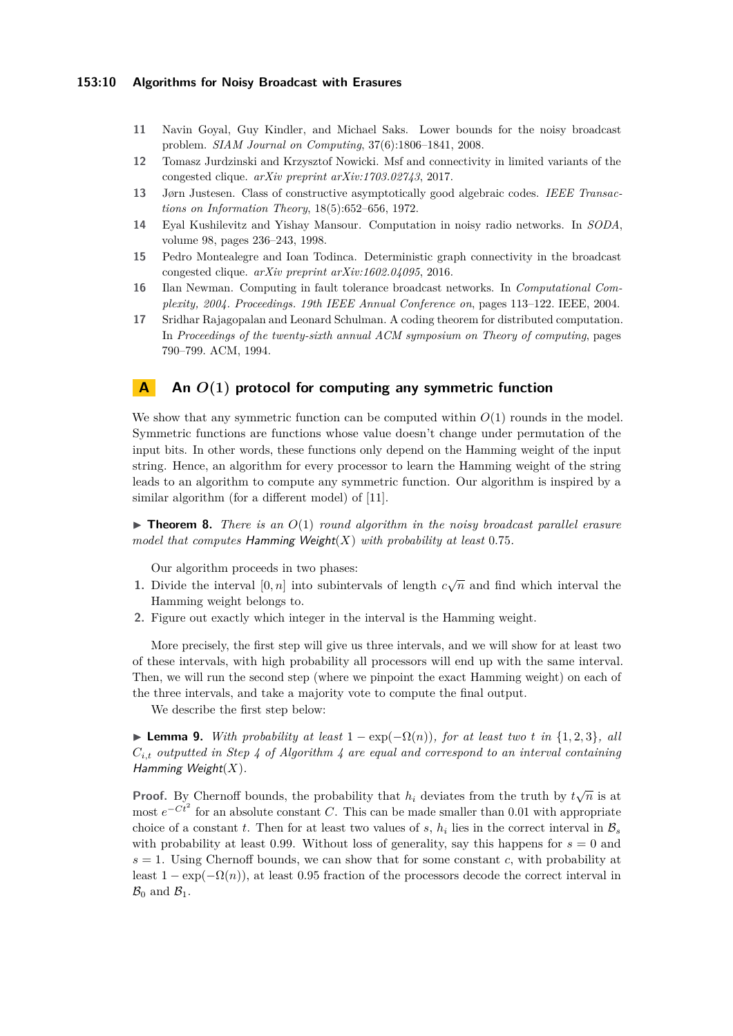### **153:10 Algorithms for Noisy Broadcast with Erasures**

- <span id="page-9-0"></span>**11** Navin Goyal, Guy Kindler, and Michael Saks. Lower bounds for the noisy broadcast problem. *SIAM Journal on Computing*, 37(6):1806–1841, 2008.
- <span id="page-9-5"></span>**12** Tomasz Jurdzinski and Krzysztof Nowicki. Msf and connectivity in limited variants of the congested clique. *arXiv preprint arXiv:1703.02743*, 2017.
- <span id="page-9-6"></span>**13** Jørn Justesen. Class of constructive asymptotically good algebraic codes. *IEEE Transactions on Information Theory*, 18(5):652–656, 1972.
- <span id="page-9-1"></span>**14** Eyal Kushilevitz and Yishay Mansour. Computation in noisy radio networks. In *SODA*, volume 98, pages 236–243, 1998.
- <span id="page-9-4"></span>**15** Pedro Montealegre and Ioan Todinca. Deterministic graph connectivity in the broadcast congested clique. *arXiv preprint arXiv:1602.04095*, 2016.
- <span id="page-9-2"></span>**16** Ilan Newman. Computing in fault tolerance broadcast networks. In *Computational Complexity, 2004. Proceedings. 19th IEEE Annual Conference on*, pages 113–122. IEEE, 2004.
- <span id="page-9-3"></span>**17** Sridhar Rajagopalan and Leonard Schulman. A coding theorem for distributed computation. In *Proceedings of the twenty-sixth annual ACM symposium on Theory of computing*, pages 790–799. ACM, 1994.

# **A An** *O***(1) protocol for computing any symmetric function**

We show that any symmetric function can be computed within *O*(1) rounds in the model. Symmetric functions are functions whose value doesn't change under permutation of the input bits. In other words, these functions only depend on the Hamming weight of the input string. Hence, an algorithm for every processor to learn the Hamming weight of the string leads to an algorithm to compute any symmetric function. Our algorithm is inspired by a similar algorithm (for a different model) of [\[11\]](#page-9-0).

<span id="page-9-7"></span> $\triangleright$  **Theorem 8.** *There is an*  $O(1)$  *round algorithm in the noisy broadcast parallel erasure model that computes* Hamming Weight(*X*) *with probability at least* 0*.*75*.*

Our algorithm proceeds in two phases:

- **1.** Divide the interval  $[0, n]$  into subintervals of length  $c\sqrt{n}$  and find which interval the Hamming weight belongs to.
- **2.** Figure out exactly which integer in the interval is the Hamming weight.

More precisely, the first step will give us three intervals, and we will show for at least two of these intervals, with high probability all processors will end up with the same interval. Then, we will run the second step (where we pinpoint the exact Hamming weight) on each of the three intervals, and take a majority vote to compute the final output.

We describe the first step below:

 $\triangleright$  **Lemma 9.** *With probability at least* 1 − exp(−Ω(*n*))*, for at least two t in* {1*,* 2*,* 3*}, all Ci,t outputted in Step [4](#page-10-0) of Algorithm [4](#page-10-1) are equal and correspond to an interval containing* Hamming Weight(*X*)*.*

**Proof.** By Chernoff bounds, the probability that  $h_i$  deviates from the truth by  $t\sqrt{n}$  is at most  $e^{-Ct^2}$  for an absolute constant *C*. This can be made smaller than 0.01 with appropriate choice of a constant *t*. Then for at least two values of *s*,  $h_i$  lies in the correct interval in  $\mathcal{B}_s$ with probability at least 0.99. Without loss of generality, say this happens for  $s = 0$  and  $s = 1$ . Using Chernoff bounds, we can show that for some constant *c*, with probability at least  $1 - \exp(-\Omega(n))$ , at least 0.95 fraction of the processors decode the correct interval in  $\mathcal{B}_0$  and  $\mathcal{B}_1$ .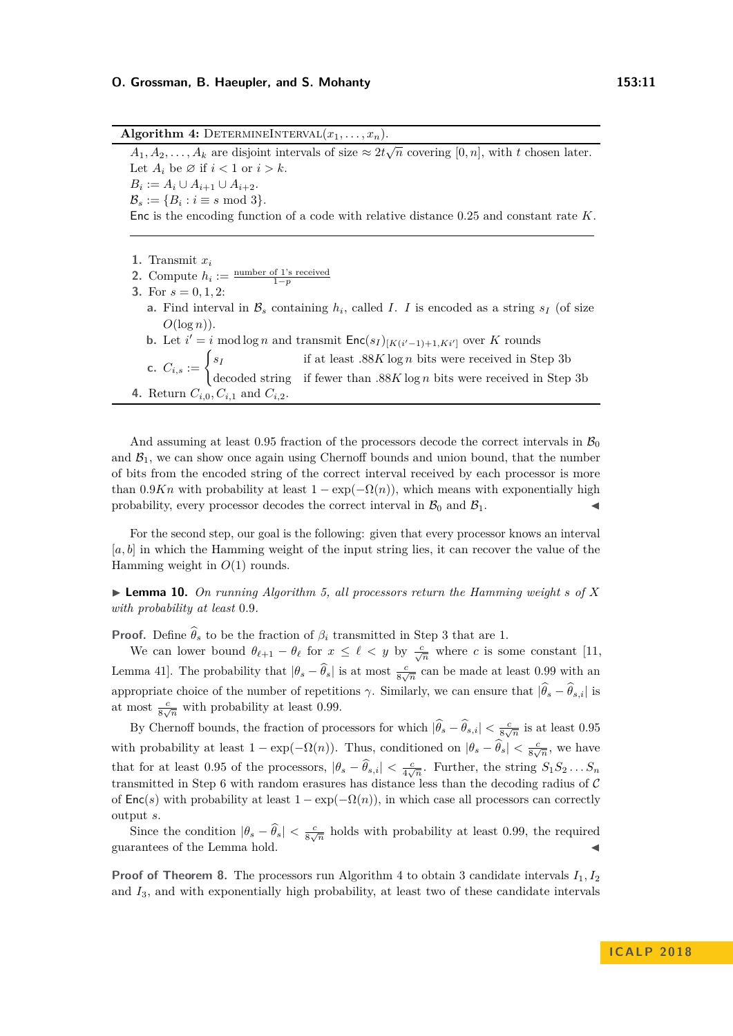#### **O. Grossman, B. Haeupler, and S. Mohanty 153:11**

<span id="page-10-1"></span> $\overline{\textbf{Algorithm 4: DETERMINEINTERVAL}(x_1, \ldots, x_n)}$ .  $A_1, A_2, \ldots, A_k$  are disjoint intervals of size  $\approx 2t\sqrt{n}$  covering [0*, n*], with *t* chosen later. Let  $A_i$  be  $\emptyset$  if  $i < 1$  or  $i > k$ .  $B_i := A_i \cup A_{i+1} \cup A_{i+2}.$  $\mathcal{B}_s := \{B_i : i \equiv s \mod 3\}.$ Enc is the encoding function of a code with relative distance 0*.*25 and constant rate *K*.

**1.** Transmit *x<sup>i</sup>*

<span id="page-10-2"></span>2. Compute  $h_i := \frac{\text{number of 1's received}}{1-p}$ **3.** For  $s = 0, 1, 2$ : **a.** Find interval in  $\mathcal{B}_s$  containing  $h_i$ , called *I*. *I* is encoded as a string  $s_I$  (of size  $O(\log n)$ ). **b.** Let  $i' = i \mod \log n$  and transmit  $Enc(s_I)_{[K(i'-1)+1, Ki']}$  over *K* rounds **c.**  $C_{i,s} := \begin{cases} s_I & \text{if at least } .88K \log n \text{ bits were received in Step 3b} \\ 1 & \text{if } s \in \mathbb{R} \end{cases}$  $C_{i,s} := \begin{cases} s_I & \text{if at least } .88K \log n \text{ bits were received in Step 3b} \\ 1 & \text{if } s \in \mathbb{R} \end{cases}$  $C_{i,s} := \begin{cases} s_I & \text{if at least } .88K \log n \text{ bits were received in Step 3b} \\ 1 & \text{if } s \in \mathbb{R} \end{cases}$ decoded string if fewer than *.*88*K* log *n* bits were received in Step [3b](#page-10-2) **4.** Return *Ci,*0*, Ci,*<sup>1</sup> and *Ci,*2.

<span id="page-10-0"></span>And assuming at least 0.95 fraction of the processors decode the correct intervals in  $\mathcal{B}_0$ and  $B_1$ , we can show once again using Chernoff bounds and union bound, that the number of bits from the encoded string of the correct interval received by each processor is more than 0.9*Kn* with probability at least  $1 - \exp(-\Omega(n))$ , which means with exponentially high probability, every processor decodes the correct interval in  $\mathcal{B}_0$  and  $\mathcal{B}_1$ .

For the second step, our goal is the following: given that every processor knows an interval [*a, b*] in which the Hamming weight of the input string lies, it can recover the value of the Hamming weight in *O*(1) rounds.

 $\triangleright$  **Lemma 10.** On running Algorithm [5,](#page-11-1) all processors return the Hamming weight s of X *with probability at least* 0*.*9*.*

**Proof.** Define  $\widehat{\theta}_s$  to be the fraction of  $\beta_i$  transmitted in Step [3](#page-11-2) that are 1.

We can lower bound  $\theta_{\ell+1} - \theta_{\ell}$  for  $x \leq \ell < y$  by  $\frac{c}{\sqrt{n}}$  where *c* is some constant [\[11,](#page-9-0) Lemma 41]. The probability that  $|\theta_s - \hat{\theta}_s|$  is at most  $\frac{c}{8\sqrt{n}}$  can be made at least 0.99 with an appropriate choice of the number of repetitions *γ*. Similarly, we can ensure that  $|\hat{\theta}_s - \hat{\theta}_{s,i}|$  is at most  $\frac{c}{8\sqrt{n}}$  with probability at least 0.99.

By Chernoff bounds, the fraction of processors for which  $|\hat{\theta}_s - \hat{\theta}_{s,i}| < \frac{c}{8\sqrt{n}}$  is at least 0.95 with probability at least  $1 - \exp(-\Omega(n))$ . Thus, conditioned on  $|\theta_s - \hat{\theta}_s| < \frac{c}{8\sqrt{n}}$ , we have that for at least 0.95 of the processors,  $|\theta_s - \hat{\theta}_{s,i}| < \frac{c}{4\sqrt{n}}$ . Further, the string  $S_1 S_2 ... S_n$ transmitted in Step [6](#page-11-3) with random erasures has distance less than the decoding radius of  $\mathcal C$ of  $Enc(s)$  with probability at least  $1 - exp(-\Omega(n))$ , in which case all processors can correctly output *s*.

Since the condition  $|\theta_s - \hat{\theta}_s| < \frac{c}{8\sqrt{n}}$  holds with probability at least 0.99, the required guarantees of the Lemma hold.

**Proof of Theorem [8.](#page-9-7)** The processors run Algorithm [4](#page-10-1) to obtain 3 candidate intervals  $I_1, I_2$ and *I*3, and with exponentially high probability, at least two of these candidate intervals